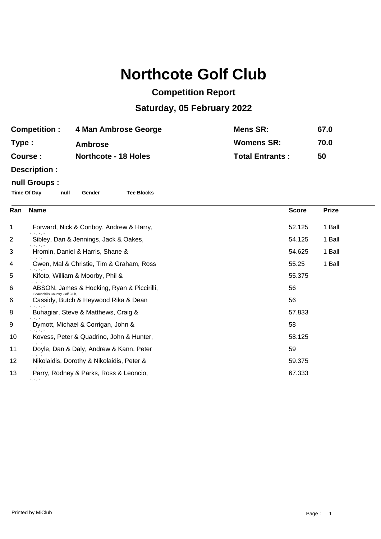# **Northcote Golf Club**

## **Competition Report**

### **Saturday, 05 February 2022**

| <b>Competition :</b> | 4 Man Ambrose George        | Mens SR:               | 67.0 |
|----------------------|-----------------------------|------------------------|------|
| Type :               | <b>Ambrose</b>              | <b>Womens SR:</b>      | 70.0 |
| <b>Course :</b>      | <b>Northcote - 18 Holes</b> | <b>Total Entrants:</b> | 50   |
| $D = -$              |                             |                        |      |

#### **Description :**

#### **null Groups :**

**Time Of Day null Gender Tee Blocks**

| Ran          | <b>Name</b>                                                                    | <b>Score</b> | <b>Prize</b> |
|--------------|--------------------------------------------------------------------------------|--------------|--------------|
| $\mathbf{1}$ | Forward, Nick & Conboy, Andrew & Harry,                                        | 52.125       | 1 Ball       |
| 2            | ÷, ÷.<br>Sibley, Dan & Jennings, Jack & Oakes,                                 | 54.125       | 1 Ball       |
| 3            | $-$ , $-$ , $-$<br>Hromin, Daniel & Harris, Shane &                            | 54.625       | 1 Ball       |
| 4            | $-$ , $-$ , $-$ ,<br>Owen, Mal & Christie, Tim & Graham, Ross                  | 55.25        | 1 Ball       |
| 5            | n, n, n,<br>Kifoto, William & Moorby, Phil &                                   | 55.375       |              |
| 6            | ABSON, James & Hocking, Ryan & Piccirilli,                                     | 56           |              |
| 6            | -, Beaconhills Country Golf Club, -, -<br>Cassidy, Butch & Heywood Rika & Dean | 56           |              |
| 8            | Taller and<br>Buhagiar, Steve & Matthews, Craig &                              | 57.833       |              |
| 9            | ., .,<br>Dymott, Michael & Corrigan, John &                                    | 58           |              |
| 10           | Kovess, Peter & Quadrino, John & Hunter,                                       | 58.125       |              |
| 11           | ., .,<br>Doyle, Dan & Daly, Andrew & Kann, Peter                               | 59           |              |
| 12           | -, -,<br>Nikolaidis, Dorothy & Nikolaidis, Peter &                             | 59.375       |              |
| 13           | $-1, -1$<br>Parry, Rodney & Parks, Ross & Leoncio,<br>79 TH 7                  | 67.333       |              |